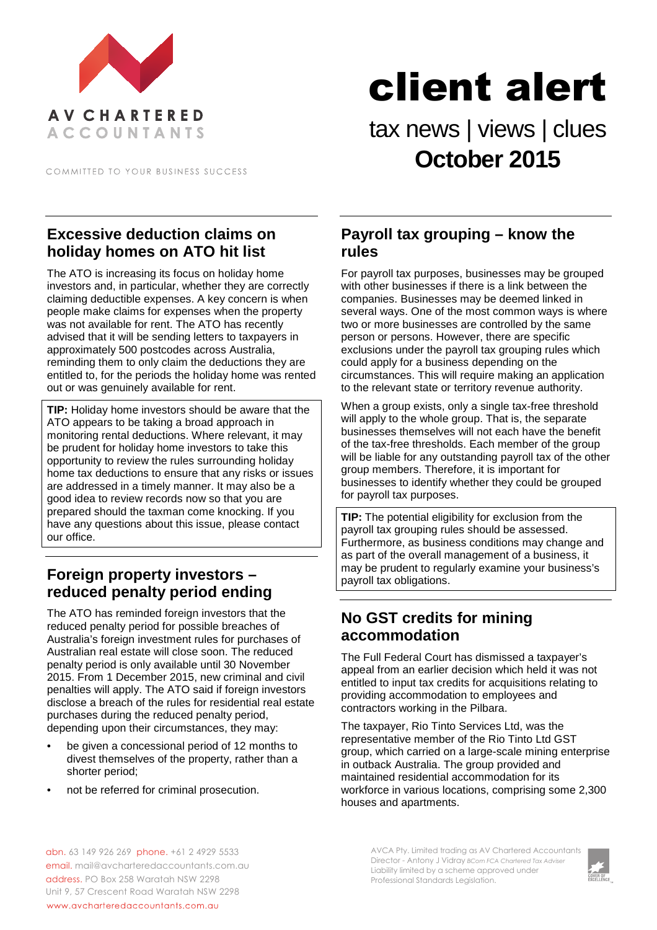

COMMITTED TO YOUR BUSINESS SUCCESS

# client alert

## tax news | views | clues **October 2015**

#### **Excessive deduction claims on holiday homes on ATO hit list**

The ATO is increasing its focus on holiday home investors and, in particular, whether they are correctly claiming deductible expenses. A key concern is when people make claims for expenses when the property was not available for rent. The ATO has recently advised that it will be sending letters to taxpayers in approximately 500 postcodes across Australia, reminding them to only claim the deductions they are entitled to, for the periods the holiday home was rented out or was genuinely available for rent.

**TIP:** Holiday home investors should be aware that the ATO appears to be taking a broad approach in monitoring rental deductions. Where relevant, it may be prudent for holiday home investors to take this opportunity to review the rules surrounding holiday home tax deductions to ensure that any risks or issues are addressed in a timely manner. It may also be a good idea to review records now so that you are prepared should the taxman come knocking. If you have any questions about this issue, please contact our office.

#### **Foreign property investors – reduced penalty period ending**

The ATO has reminded foreign investors that the reduced penalty period for possible breaches of Australia's foreign investment rules for purchases of Australian real estate will close soon. The reduced penalty period is only available until 30 November 2015. From 1 December 2015, new criminal and civil penalties will apply. The ATO said if foreign investors disclose a breach of the rules for residential real estate purchases during the reduced penalty period, depending upon their circumstances, they may:

- be given a concessional period of 12 months to divest themselves of the property, rather than a shorter period;
- not be referred for criminal prosecution.

#### **Payroll tax grouping – know the rules**

For payroll tax purposes, businesses may be grouped with other businesses if there is a link between the companies. Businesses may be deemed linked in several ways. One of the most common ways is where two or more businesses are controlled by the same person or persons. However, there are specific exclusions under the payroll tax grouping rules which could apply for a business depending on the circumstances. This will require making an application to the relevant state or territory revenue authority.

When a group exists, only a single tax-free threshold will apply to the whole group. That is, the separate businesses themselves will not each have the benefit of the tax-free thresholds. Each member of the group will be liable for any outstanding payroll tax of the other group members. Therefore, it is important for businesses to identify whether they could be grouped for payroll tax purposes.

**TIP:** The potential eligibility for exclusion from the payroll tax grouping rules should be assessed. Furthermore, as business conditions may change and as part of the overall management of a business, it may be prudent to regularly examine your business's payroll tax obligations.

### **No GST credits for mining accommodation**

The Full Federal Court has dismissed a taxpayer's appeal from an earlier decision which held it was not entitled to input tax credits for acquisitions relating to providing accommodation to employees and contractors working in the Pilbara.

The taxpayer, Rio Tinto Services Ltd, was the representative member of the Rio Tinto Ltd GST group, which carried on a large-scale mining enterprise in outback Australia. The group provided and maintained residential accommodation for its workforce in various locations, comprising some 2,300 houses and apartments.

abn. 63 149 926 269 phone. +61 2 4929 5533 email. mail@avcharteredaccountants.com.au address. PO Box 258 Waratah NSW 2298 Unit 9, 57 Crescent Road Waratah NSW 2298 www.avcharteredaccountants.com.au

AVCA Pty. Limited trading as AV Chartered Accountants Director - Antony J Vidray *BCom FCA Chartered Tax Adviser* Liability limited by a scheme approved under Professional Standards Legislation.